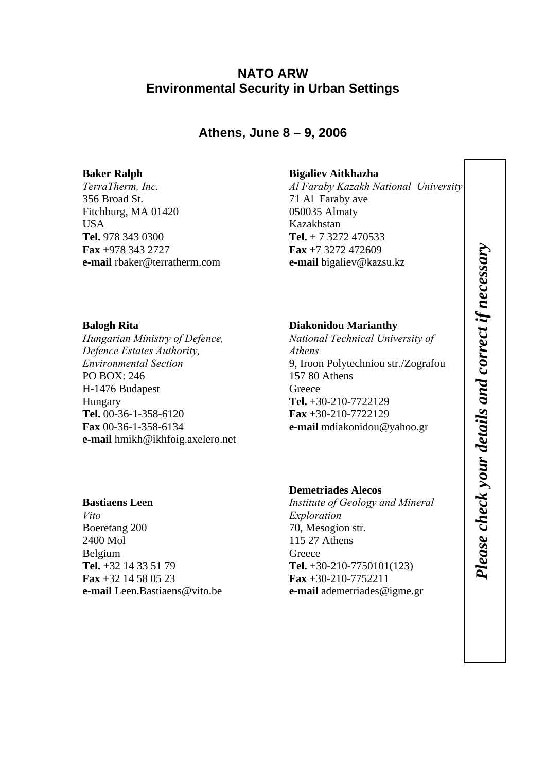# **NATO ARW Environmental Security in Urban Settings**

**Athens, June 8 – 9, 2006** 

## **Baker Ralph**

*TerraTherm, Inc.*  356 Broad St. Fitchburg, MA 01420 **USA Tel.** 978 343 0300 **Fax** +978 343 2727 **e-mail** rbaker@terratherm.com

### **Bigaliev Aitkhazha**

*Al Faraby Kazakh National University*  71 Al Faraby ave 050035 Almaty Kazakhstan **Tel.** + 7 3272 470533 **Fax** +7 3272 472609 **e-mail** bigaliev@kazsu.kz

## **Balogh Rita**

*Hungarian Ministry of Defence, Defence Estates Authority, Environmental Section*  PO BOX: 246 H-1476 Budapest Hungary **Tel.** 00-36-1-358-6120 **Fax** 00-36-1-358-6134 **e-mail** hmikh@ikhfoig.axelero.net

## **Bastiaens Leen**

*Vito*  Boeretang 200 2400 Mol Belgium **Tel.** +32 14 33 51 79 **Fax** +32 14 58 05 23 **e-mail** Leen.Bastiaens@vito.be

## **Diakonidou Marianthy**

*National Technical University of Athens*  9, Iroon Polytechniou str./Zografou 157 80 Athens **Greece Tel.** +30-210-7722129 **Fax** +30-210-7722129 **e-mail** mdiakonidou@yahoo.gr

## **Demetriades Alecos**

*Institute of Geology and Mineral Exploration*  70, Mesogion str. 115 27 Athens **Greece Tel.** +30-210-7750101(123) **Fax** +30-210-7752211 **e-mail** ademetriades@igme.gr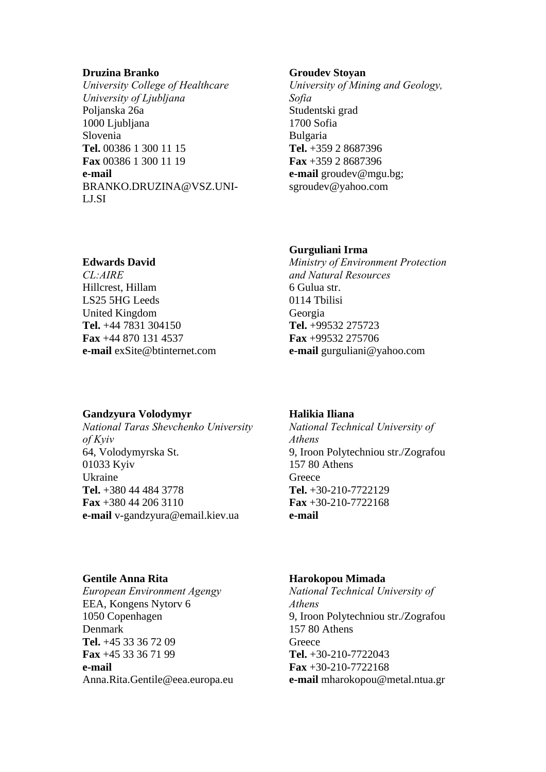#### **Druzina Branko**

*University College of Healthcare University of Ljubljana*  Poljanska 26a 1000 Ljubljana Slovenia **Tel.** 00386 1 300 11 15 **Fax** 00386 1 300 11 19 **e-mail** BRANKO.DRUZINA@VSZ.UNI-LJ.SI

#### **Groudev Stoyan**

*University of Mining and Geology, Sofia*  Studentski grad 1700 Sofia Bulgaria **Tel.** +359 2 8687396 **Fax** +359 2 8687396 **e-mail** groudev@mgu.bg; sgroudev@yahoo.com

### **Gurguliani Irma**

*Ministry of Environment Protection and Natural Resources*  6 Gulua str. 0114 Tbilisi Georgia **Tel.** +99532 275723 **Fax** +99532 275706 **e-mail** gurguliani@yahoo.com

## **Edwards David**

*CL:AIRE*  Hillcrest, Hillam LS25 5HG Leeds United Kingdom **Tel.** +44 7831 304150 **Fax** +44 870 131 4537 **e-mail** exSite@btinternet.com

## **Gandzyura Volodymyr**

*National Taras Shevchenko University of Kyiv*  64, Volodymyrska St. 01033 Kyiv Ukraine **Tel.** +380 44 484 3778 **Fax** +380 44 206 3110 **e-mail** v-gandzyura@email.kiev.ua

### **Halikia Iliana**

*National Technical University of Athens*  9, Iroon Polytechniou str./Zografou 157 80 Athens **Greece Tel.** +30-210-7722129 **Fax** +30-210-7722168 **e-mail**

### **Gentile Anna Rita**

*European Environment Agengy*  EEA, Kongens Nytorv 6 1050 Copenhagen Denmark **Tel.** +45 33 36 72 09 **Fax** +45 33 36 71 99 **e-mail** Anna.Rita.Gentile@eea.europa.eu

### **Harokopou Mimada**

*National Technical University of Athens*  9, Iroon Polytechniou str./Zografou 157 80 Athens **Greece Tel.** +30-210-7722043 **Fax** +30-210-7722168 **e-mail** mharokopou@metal.ntua.gr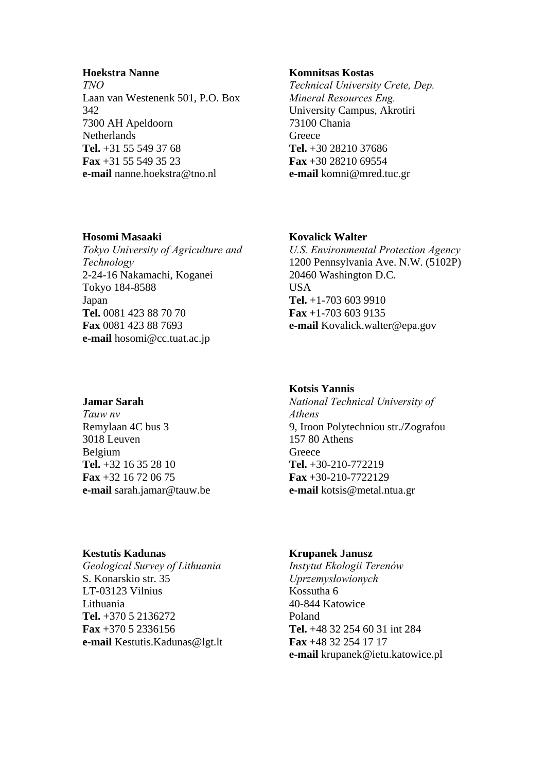### **Hoekstra Nanne**

*TNO*  Laan van Westenenk 501, P.O. Box 342 7300 AH Apeldoorn **Netherlands Tel.** +31 55 549 37 68 **Fax** +31 55 549 35 23 **e-mail** nanne.hoekstra@tno.nl

#### **Komnitsas Kostas**

*Technical University Crete, Dep. Mineral Resources Eng.*  University Campus, Akrotiri 73100 Chania **Greece Tel.** +30 28210 37686 **Fax** +30 28210 69554 **e-mail** komni@mred.tuc.gr

### **Hosomi Masaaki**

*Tokyo University of Agriculture and Technology*  2-24-16 Nakamachi, Koganei Tokyo 184-8588 Japan **Tel.** 0081 423 88 70 70 **Fax** 0081 423 88 7693 **e-mail** hosomi@cc.tuat.ac.jp

#### **Kovalick Walter**

*U.S. Environmental Protection Agency*  1200 Pennsylvania Ave. N.W. (5102P) 20460 Washington D.C. **USA Tel.** +1-703 603 9910 **Fax** +1-703 603 9135 **e-mail** Kovalick.walter@epa.gov

## **Jamar Sarah**

*Tauw nv*  Remylaan 4C bus 3 3018 Leuven Belgium **Tel.** +32 16 35 28 10 **Fax** +32 16 72 06 75 **e-mail** sarah.jamar@tauw.be

#### **Kestutis Kadunas**

*Geological Survey of Lithuania*  S. Konarskio str. 35 LT-03123 Vilnius Lithuania **Tel.** +370 5 2136272 **Fax** +370 5 2336156 **e-mail** Kestutis.Kadunas@lgt.lt

#### **Kotsis Yannis**

*National Technical University of Athens*  9, Iroon Polytechniou str./Zografou 157 80 Athens **Greece Tel.** +30-210-772219 **Fax** +30-210-7722129 **e-mail** kotsis@metal.ntua.gr

#### **Krupanek Janusz**

*Instytut Ekologii Terenów Uprzemysłowionych*  Kossutha 6 40-844 Katowice Poland **Tel.** +48 32 254 60 31 int 284 **Fax** +48 32 254 17 17 **e-mail** krupanek@ietu.katowice.pl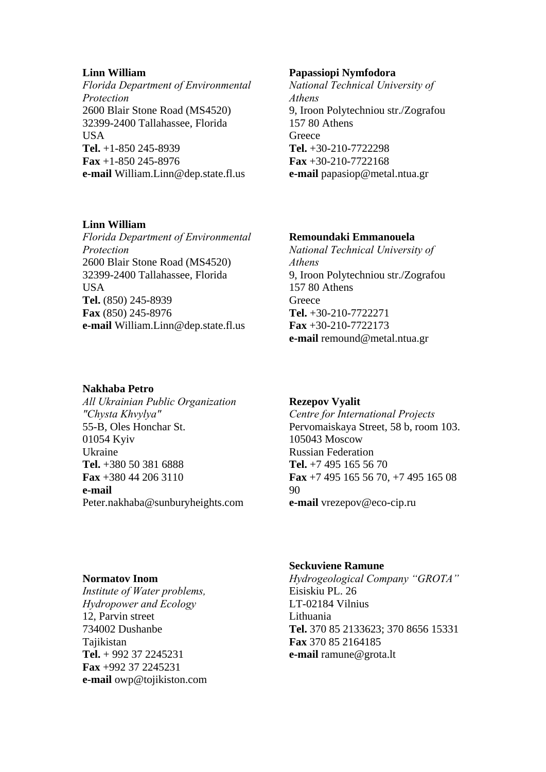### **Linn William**

*Florida Department of Environmental Protection*  2600 Blair Stone Road (MS4520) 32399-2400 Tallahassee, Florida USA **Tel.** +1-850 245-8939 **Fax** +1-850 245-8976 **e-mail** William.Linn@dep.state.fl.us

### **Linn William**

*Florida Department of Environmental Protection*  2600 Blair Stone Road (MS4520) 32399-2400 Tallahassee, Florida **USA Tel.** (850) 245-8939 **Fax** (850) 245-8976 **e-mail** William.Linn@dep.state.fl.us

### **Nakhaba Petro**

*All Ukrainian Public Organization "Chysta Khvylya"*  55-B, Oles Honchar St. 01054 Kyiv Ukraine **Tel.** +380 50 381 6888 **Fax** +380 44 206 3110 **e-mail** Peter.nakhaba@sunburyheights.com

### **Papassiopi Nymfodora**

*National Technical University of Athens*  9, Iroon Polytechniou str./Zografou 157 80 Athens **Greece Tel.** +30-210-7722298 **Fax** +30-210-7722168 **e-mail** papasiop@metal.ntua.gr

### **Remoundaki Emmanouela**

*National Technical University of Athens*  9, Iroon Polytechniou str./Zografou 157 80 Athens **Greece Tel.** +30-210-7722271 **Fax** +30-210-7722173 **e-mail** remound@metal.ntua.gr

## **Rezepov Vyalit**

*Centre for International Projects*  Pervomaiskaya Street, 58 b, room 103. 105043 Moscow Russian Federation **Tel.** +7 495 165 56 70 **Fax** +7 495 165 56 70, +7 495 165 08 90 **e-mail** vrezepov@eco-cip.ru

### **Normatov Inom**

*Institute of Water problems, Hydropower and Ecology*  12, Parvin street 734002 Dushanbe Tajikistan **Tel.** + 992 37 2245231 **Fax** +992 37 2245231 **e-mail** owp@tojikiston.com

## **Seckuviene Ramune**

*Hydrogeological Company "GROTA"*  Eisiskiu PL. 26 LT-02184 Vilnius Lithuania **Tel.** 370 85 2133623; 370 8656 15331 **Fax** 370 85 2164185 **e-mail** ramune@grota.lt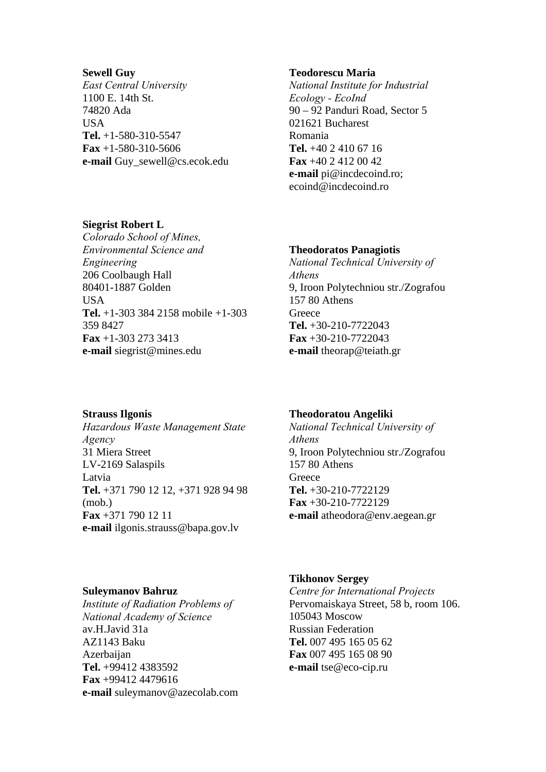#### **Sewell Guy**

*East Central University*  1100 E. 14th St. 74820 Ada **USA Tel.** +1-580-310-5547 **Fax** +1-580-310-5606 **e-mail** Guy\_sewell@cs.ecok.edu

#### **Teodorescu Maria**

*National Institute for Industrial Ecology - EcoInd*  90 – 92 Panduri Road, Sector 5 021621 Bucharest Romania **Tel.** +40 2 410 67 16 **Fax** +40 2 412 00 42 **e-mail** pi@incdecoind.ro; ecoind@incdecoind.ro

## **Siegrist Robert L**

*Colorado School of Mines, Environmental Science and Engineering*  206 Coolbaugh Hall 80401-1887 Golden **USA Tel.** +1-303 384 2158 mobile +1-303 359 8427 **Fax** +1-303 273 3413 **e-mail** siegrist@mines.edu

#### **Theodoratos Panagiotis**

*National Technical University of Athens*  9, Iroon Polytechniou str./Zografou 157 80 Athens **Greece Tel.** +30-210-7722043 **Fax** +30-210-7722043 **e-mail** theorap@teiath.gr

### **Strauss Ilgonis**

*Hazardous Waste Management State Agency*  31 Miera Street LV-2169 Salaspils Latvia **Tel.** +371 790 12 12, +371 928 94 98 (mob.) **Fax** +371 790 12 11 **e-mail** ilgonis.strauss@bapa.gov.lv

#### **Theodoratou Angeliki**

*National Technical University of Athens*  9, Iroon Polytechniou str./Zografou 157 80 Athens **Greece Tel.** +30-210-7722129 **Fax** +30-210-7722129 **e-mail** atheodora@env.aegean.gr

### **Suleymanov Bahruz**

*Institute of Radiation Problems of National Academy of Science*  av.H.Javid 31a AZ1143 Baku Azerbaijan **Tel.** +99412 4383592 **Fax** +99412 4479616 **e-mail** suleymanov@azecolab.com

### **Tikhonov Sergey**

*Centre for International Projects*  Pervomaiskaya Street, 58 b, room 106. 105043 Moscow Russian Federation **Tel.** 007 495 165 05 62 **Fax** 007 495 165 08 90 **e-mail** tse@eco-cip.ru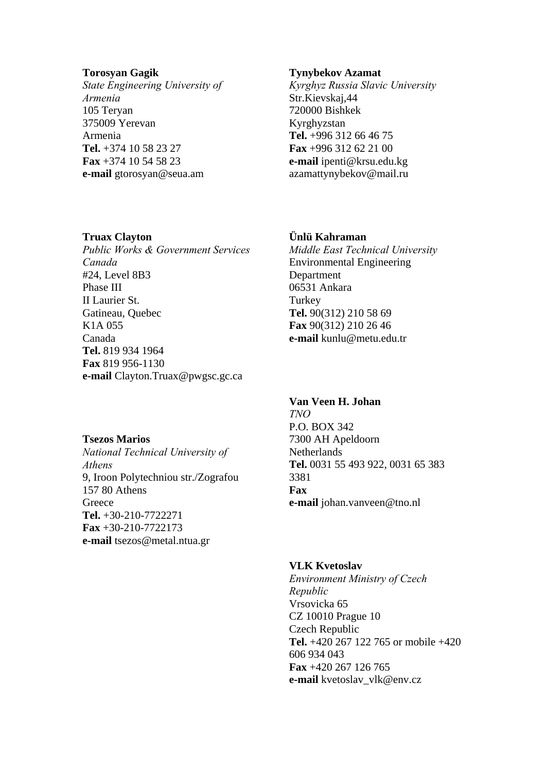### **Torosyan Gagik**

*State Engineering University of Armenia*  105 Teryan 375009 Yerevan Armenia **Tel.** +374 10 58 23 27 **Fax** +374 10 54 58 23 **e-mail** gtorosyan@seua.am

### **Tynybekov Azamat**

*Kyrghyz Russia Slavic University*  Str.Kievskaj,44 720000 Bishkek Kyrghyzstan **Tel.** +996 312 66 46 75 **Fax** +996 312 62 21 00 **e-mail** ipenti@krsu.edu.kg azamattynybekov@mail.ru

### **Truax Clayton**

*Public Works & Government Services Canada*  #24, Level 8B3 Phase III II Laurier St. Gatineau, Quebec K1A 055 Canada **Tel.** 819 934 1964 **Fax** 819 956-1130 **e-mail** Clayton.Truax@pwgsc.gc.ca

### **Tsezos Marios**

*National Technical University of Athens*  9, Iroon Polytechniou str./Zografou 157 80 Athens **Greece Tel.** +30-210-7722271 **Fax** +30-210-7722173 **e-mail** tsezos@metal.ntua.gr

## **Ünlü Kahraman**

*Middle East Technical University*  Environmental Engineering Department 06531 Ankara **Turkey Tel.** 90(312) 210 58 69 **Fax** 90(312) 210 26 46 **e-mail** kunlu@metu.edu.tr

# **Van Veen H. Johan**

*TNO*  P.O. BOX 342 7300 AH Apeldoorn **Netherlands Tel.** 0031 55 493 922, 0031 65 383 3381 **Fax e-mail** johan.vanveen@tno.nl

## **VLK Kvetoslav**

*Environment Ministry of Czech Republic*  Vrsovicka 65 CZ 10010 Prague 10 Czech Republic **Tel.** +420 267 122 765 or mobile +420 606 934 043 **Fax** +420 267 126 765 **e-mail** kvetoslav\_vlk@env.cz